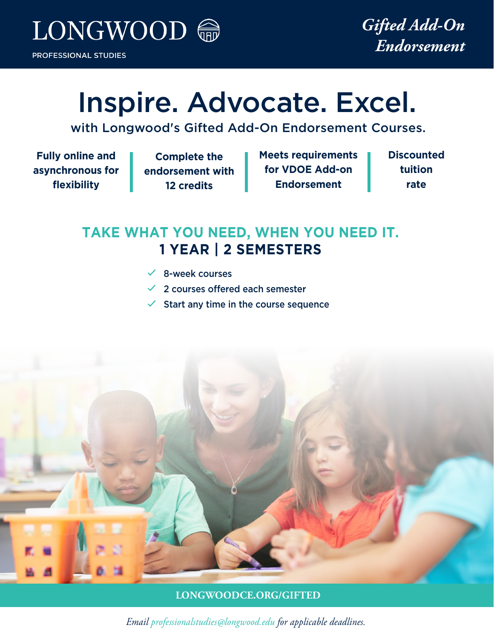

# Inspire. Advocate. Excel.

with Longwood's Gifted Add-On Endorsement Courses.

**Fully online and asynchronous for flexibility**

**Complete the endorsement with 12 credits**

**Meets requirements for VDOE Add-on Endorsement**

**Discounted tuition rate**

# **TAKE WHAT YOU NEED, WHEN YOU NEED IT. 1 YEAR | 2 SEMESTERS**

- $\checkmark$  8-week courses
- $\checkmark$  2 courses offered each semester
- Start any time in the course sequence



**LONGWOODCE.ORG/GIFTED**

*Email professionalstudies@longwood.edu for applicable deadlines.*